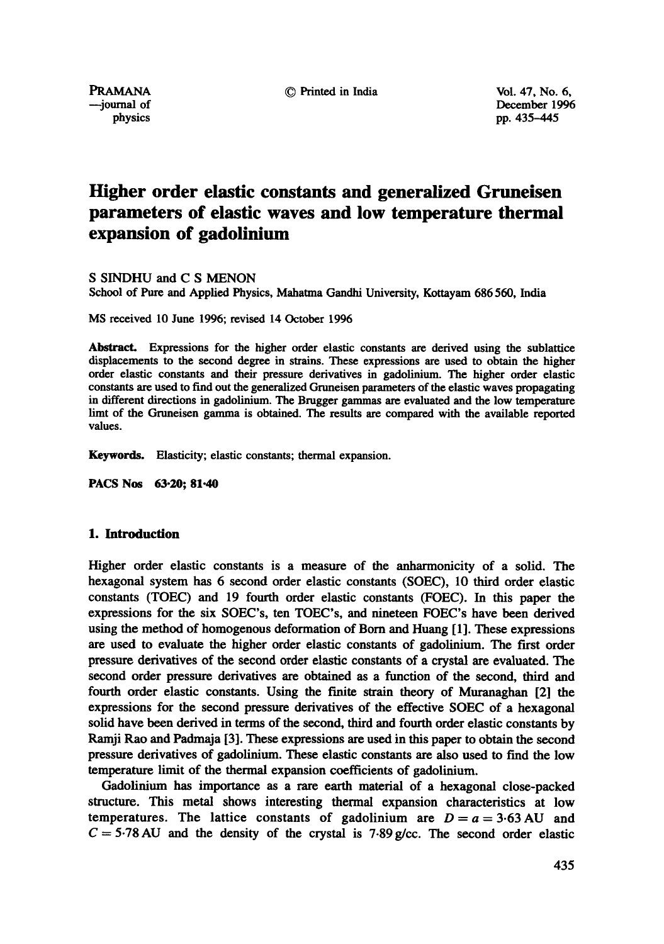--journal of December 1996<br>physics by the physics pp. 435-445 pp. 435-445

# **Higher order elastic constants and generalized Gruneisen parameters of elastic waves and low temperature thermal expansion of gadolinium**

S SINDHU and C S MENON

School of Pure and Applied Physics, Mahatma Gandhi University, Kottayam 686 560, India

MS received 10 June 1996; revised 14 October 1996

Abstract. Expressions for the higher order elastic constants are derived using the sublattice displacements to the second degree in strains. These expressions are used to obtain the higher order elastic constants and their pressure derivatives in gadofininm. The higher order elastic constants are used to find out the generalized Gmneisen parameters of the elastic waves propagating in different directions in gadolinium. The Brugger gammas are evaluated and the low temperature limt of the Gruneisen gamma is obtained. The results are compared with the available reported values.

Keywords. Elasticity; elastic constants; thermal expansion.

**PACS Nos 63.20; 81.40** 

# 1. Introduction

Higher order elastic constants is a measure of the anharmonicity of a solid. The hexagonal system has 6 second order elastic constants (SOEC), 10 third order elastic constants (TOEC) and 19 fourth order elastic constants (FOEC). In this paper the expressions for the six SOEC's, ten TOEC's, and nineteen FOEC's have been derived using the method of homogenous deformation of Born and Huang [1]. These expressions are used to evaluate the higher order elastic constants of gadolinium. The first order pressure derivatives of the second order elastic constants of a crystal are evaluated. The second order pressure derivatives are obtained as a function of the second, third and fourth order elastic constants. Using the finite strain theory of Muranaghan [2] the expressions for the second pressure derivatives of the effective SOEC of a hexagonal solid have been derived in terms of the second, third and fourth order elastic constants by Ramji Rao and Padrnaja [3]. These expressions are used in this paper to obtain the second pressure derivatives of gadolinium. These elastic constants are also used to find the low temperature limit of the thermal expansion coefficients of gadolinium.

Gadolinium has importance as a rare earth material of a hexagonal close-packed structure. This metal shows interesting thermal expansion characteristics at low temperatures. The lattice constants of gadolinium are  $D = a = 3.63$  AU and  $C = 5.78$  AU and the density of the crystal is 7.89 g/cc. The second order elastic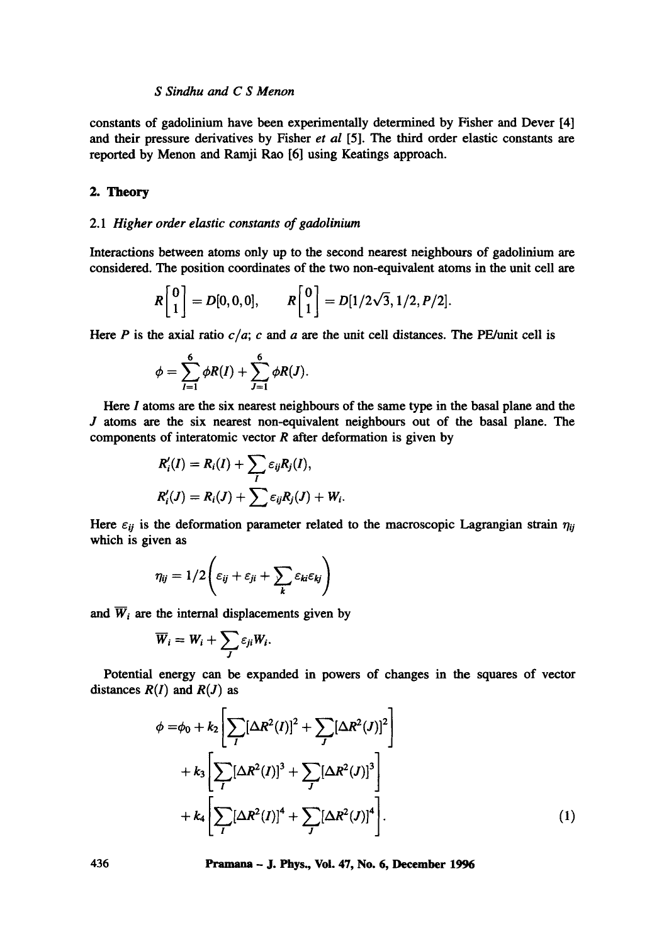## *S Sindhu and C S Menon*

constants of gadolinium have been experimentally determined by Fisher and Dever [4] and their pressure derivatives by Fisher *et al* [5]. The third order elastic constants are reported by Menon and Ramji Rao [6] using Keatings approach.

# 2. Theory

## *2.1 Higher order elastic constants of gadolinium*

Interactions between atoms only up to the second nearest neighbours of gadolinium are considered. The position coordinates of the two non-equivalent atoms in the unit cell are

$$
R\begin{bmatrix}0\\1\end{bmatrix}=D[0,0,0], \qquad R\begin{bmatrix}0\\1\end{bmatrix}=D[1/2\sqrt{3},1/2,P/2].
$$

Here P is the axial ratio  $c/a$ ; c and a are the unit cell distances. The PE/unit cell is

$$
\phi = \sum_{I=1}^{6} \phi R(I) + \sum_{J=1}^{6} \phi R(J).
$$

Here I atoms are the six nearest neighbours of the same type in the basal plane and the J atoms are the six nearest non-equivalent neighbours out of the basal plane. The components of interatomic vector  $R$  after deformation is given by

$$
R'_{i}(I) = R_{i}(I) + \sum_{I} \varepsilon_{ij} R_{j}(I),
$$
  

$$
R'_{i}(J) = R_{i}(J) + \sum \varepsilon_{ij} R_{j}(J) + W_{i}.
$$

Here  $\varepsilon_{ij}$  is the deformation parameter related to the macroscopic Lagrangian strain  $\eta_{ij}$ which is given as

$$
\eta_{ij} = 1/2 \left( \varepsilon_{ij} + \varepsilon_{ji} + \sum_k \varepsilon_{ki} \varepsilon_{kj} \right)
$$

and  $\overline{W}_i$  are the internal displacements given by

$$
\overline{W}_i = W_i + \sum_J \varepsilon_{ji} W_i.
$$

Potential energy can be expanded in powers of changes in the squares of vector distances  $R(I)$  and  $R(J)$  as

$$
\phi = \phi_0 + k_2 \left[ \sum_I [\Delta R^2(I)]^2 + \sum_J [\Delta R^2(J)]^2 \right] + k_3 \left[ \sum_I [\Delta R^2(I)]^3 + \sum_J [\Delta R^2(J)]^3 \right] + k_4 \left[ \sum_I [\Delta R^2(I)]^4 + \sum_J [\Delta R^2(J)]^4 \right].
$$
 (1)

**436 Pramana - J. Phys., Vol. 47, No. 6, December 1996**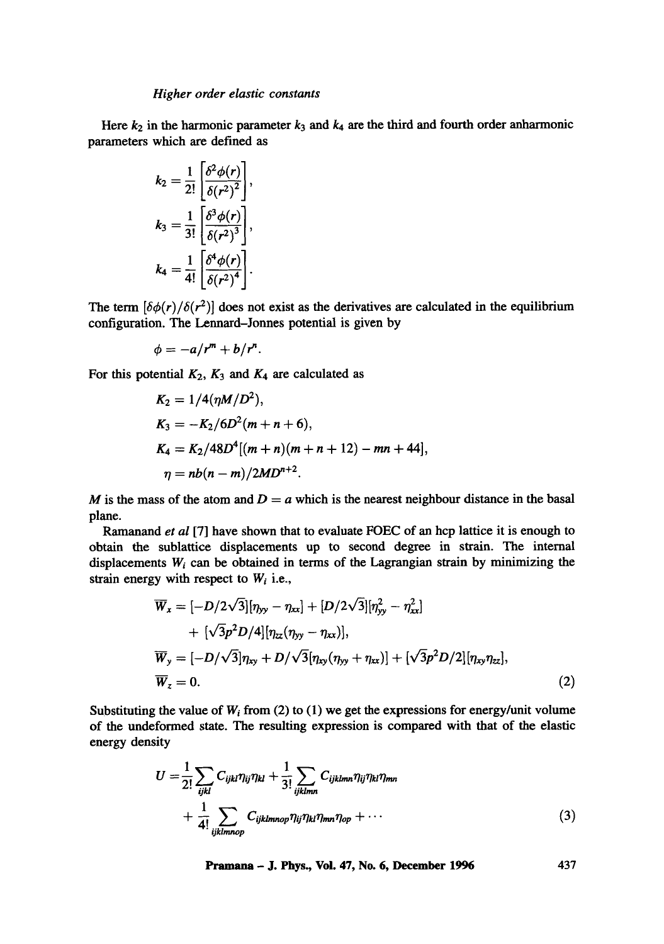Here  $k_2$  in the harmonic parameter  $k_3$  and  $k_4$  are the third and fourth order anharmonic parameters which are defined as

$$
k_2 = \frac{1}{2!} \left[ \frac{\delta^2 \phi(r)}{\delta(r^2)^2} \right],
$$
  
\n
$$
k_3 = \frac{1}{3!} \left[ \frac{\delta^3 \phi(r)}{\delta(r^2)^3} \right],
$$
  
\n
$$
k_4 = \frac{1}{4!} \left[ \frac{\delta^4 \phi(r)}{\delta(r^2)^4} \right].
$$

The term  $\left[\delta\phi(r)/\delta(r^2)\right]$  does not exist as the derivatives are calculated in the equilibrium configuration. The Lennard-Jonnes potential is given by

$$
\phi=-a/r^m+b/r^n.
$$

For this potential  $K_2$ ,  $K_3$  and  $K_4$  are calculated as

$$
K_2 = 1/4(\eta M/D^2),
$$
  
\n
$$
K_3 = -K_2/6D^2(m+n+6),
$$
  
\n
$$
K_4 = K_2/48D^4[(m+n)(m+n+12) - mn + 44],
$$
  
\n
$$
\eta = nb(n-m)/2MD^{n+2}.
$$

M is the mass of the atom and  $D = a$  which is the nearest neighbour distance in the basal plane.

Ramanand *et al* [7] have shown that to evaluate FOEC of an hcp lattice it is enough to obtain the sublattice displacements up to second degree in strain. The internal displacements  $W_i$  can be obtained in terms of the Lagrangian strain by minimizing the strain energy with respect to *Wi* i.e.,

$$
\overline{W}_x = [-D/2\sqrt{3}][\eta_{yy} - \eta_{xx}] + [D/2\sqrt{3}][\eta_{yy}^2 - \eta_{xx}^2] \n+ [\sqrt{3}p^2D/4][\eta_{zz}(\eta_{yy} - \eta_{xx})], \n\overline{W}_y = [-D/\sqrt{3}]\eta_{xy} + D/\sqrt{3}[\eta_{xy}(\eta_{yy} + \eta_{xx})] + [\sqrt{3}p^2D/2][\eta_{xy}\eta_{zz}], \n\overline{W}_z = 0.
$$
\n(2)

Substituting the value of  $W_i$  from (2) to (1) we get the expressions for energy/unit volume of the undeformed state. The resulting expression is compared with that of the elastic energy density

$$
U = \frac{1}{2!} \sum_{ijkl} C_{ijkl} \eta_{ij} \eta_{kl} + \frac{1}{3!} \sum_{ijklmn} C_{ijklmn} \eta_{ij} \eta_{kl} \eta_{mn}
$$
  
+ 
$$
\frac{1}{4!} \sum_{ijklmnop} C_{ijklmnop} \eta_{ij} \eta_{kl} \eta_{mn} \eta_{op} + \cdots
$$
 (3)

**Pramana - J. Phys., Vol. 47, No. 6, December 1996 437**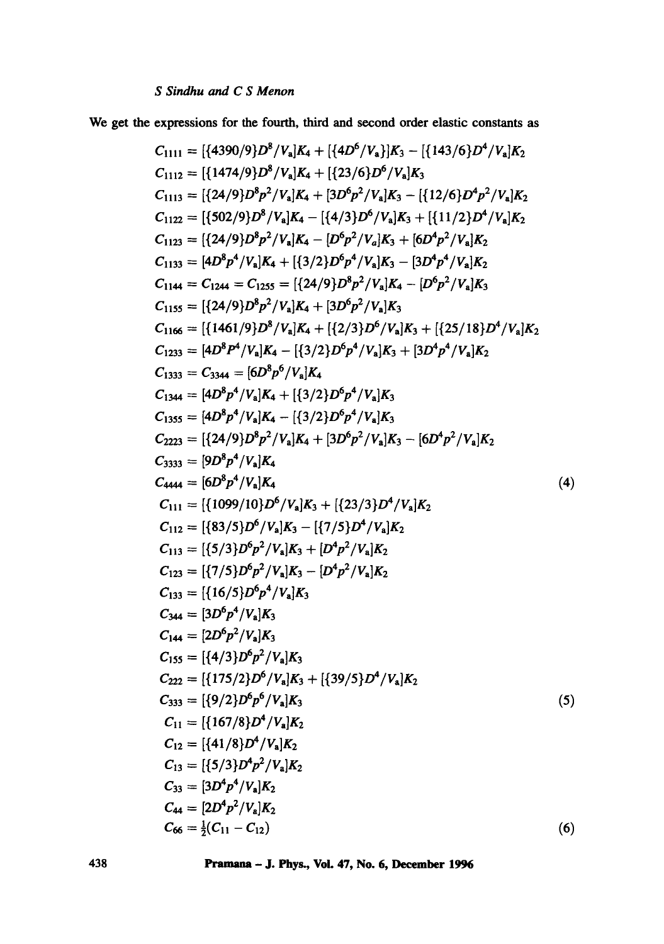We get the expressions for the fourth, third and second order elastic constants as

C<sub>1111</sub> = [{4390/9}D<sup>8</sup>/V<sub>a</sub>]
$$
K_4 + [{4D6/Va}]K_3 - [{143/6}D4/Va] $K_2$   
\nC<sub>1112</sub> = [{474/9}D<sup>8</sup>p<sup>2</sup>/V<sub>a</sub>] $K_4 + [{23/6}D6/Va] $K_3$   
\nC<sub>1113</sub> = [{24/9}D<sup>8</sup>p<sup>2</sup>/V<sub>a</sub>] $K_4 + [3D6p2/Va] $K_3$  - [{12/6}D<sup>4</sup>p<sup>2</sup>/V<sub>a</sub>] $K_2$   
\nC<sub>1122</sub> = [{502/9}D<sup>8</sup>p<sup>2</sup>/V<sub>a</sub>] $K_4$  - [ $B6p2/Va] $K_3$  + [ $6D4p2/Va] $K_2$   
\nC<sub>1123</sub> = [{24/9}D<sup>8</sup>p<sup>2</sup>/V<sub>a</sub>] $K_4$  - [ $B6p2/Va] $K_5$  + [ $6D4p2/Va] $K_2$   
\nC<sub>1133</sub> = [4D<sup>8</sup>p<sup>4</sup>/V<sub>a</sub>] $K_4$  + [{3/2}D<sup>6</sup>p<sup>4</sup>/V<sub>a</sub>] $K_3$  - [ $3D4p4/Va] $K_2$   
\nC<sub>1135</sub> = [{24/9}D<sup>8</sup>p<sup>2</sup>/V<sub>a</sub>] $K_4$  + [{2/3}D<sup>6</sup>p<sup>2</sup>/V<sub>a</sub>] $K_3$   
\nC<sub>1153</sub> = 5344 = [6D<sup>8</sup>p$$$$$$$
$$

**438 Pramana - J. Phys., Voi. 47, No. 6, December 1996**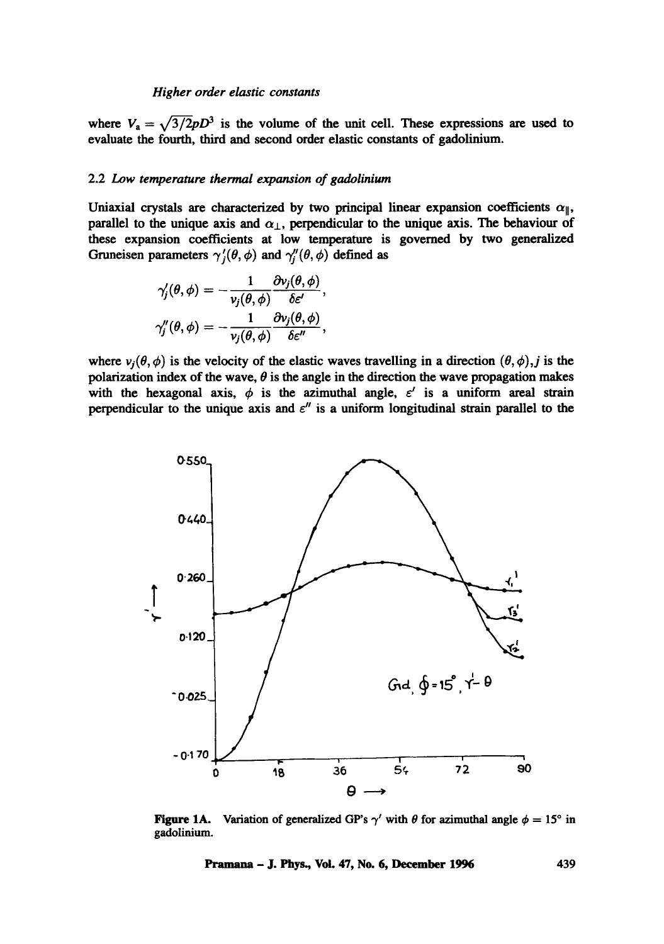where  $V_a = \sqrt{3/2}pD^3$  is the volume of the unit cell. These expressions are used to evaluate the fourth, third and second order elastic constants of gadolinium.

#### 2.2 *Low temperature thermal expansion of gadolinium*

Uniaxial crystals are characterized by two principal linear expansion coefficients  $\alpha_{\parallel}$ , parallel to the unique axis and  $\alpha_{\perp}$ , perpendicular to the unique axis. The behaviour of these expansion coefficients at low temperature is governed by two generalized Gruneisen parameters  $\gamma'_{j}(\theta, \phi)$  and  $\gamma''_{j}(\theta, \phi)$  defined as

$$
\gamma_j'(\theta,\phi) = -\frac{1}{v_j(\theta,\phi)} \frac{\partial v_j(\theta,\phi)}{\delta \varepsilon'},
$$
  

$$
\gamma_j''(\theta,\phi) = -\frac{1}{v_i(\theta,\phi)} \frac{\partial v_j(\theta,\phi)}{\delta \varepsilon''},
$$

where  $v_j(\theta, \phi)$  is the velocity of the elastic waves travelling in a direction  $(\theta, \phi)$ , j is the polarization index of the wave,  $\theta$  is the angle in the direction the wave propagation makes with the hexagonal axis,  $\phi$  is the azimuthal angle,  $\varepsilon'$  is a uniform areal strain perpendicular to the unique axis and  $\varepsilon''$  is a uniform longitudinal strain parallel to the



Figure 1A. Variation of generalized GP's  $\gamma'$  with  $\theta$  for azimuthal angle  $\phi = 15^\circ$  in gadolinium.

Pramana - J. Phys, Vol. 47, No. 6, December 1996 439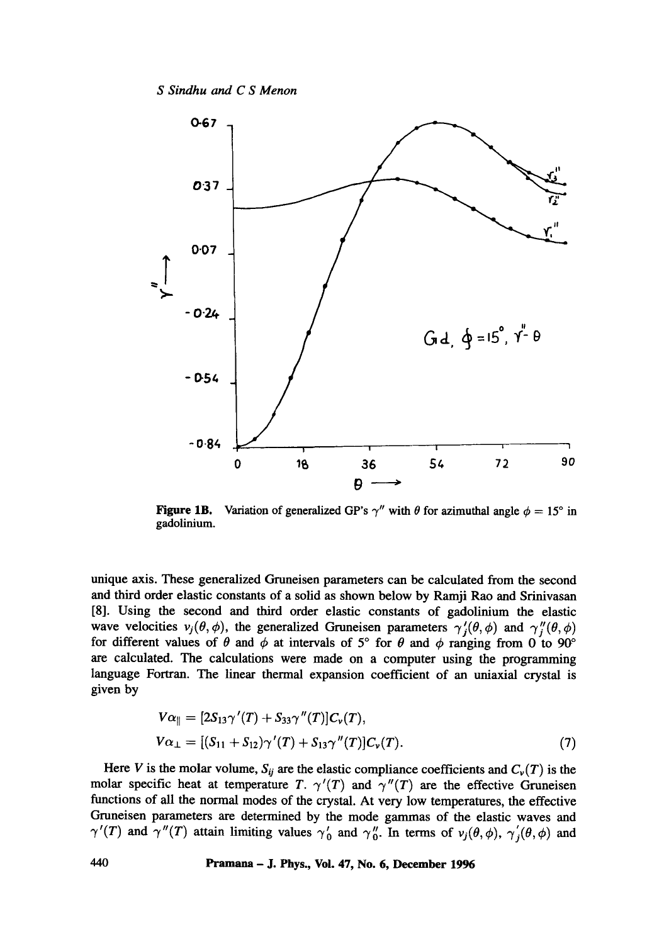*S Sindhu and C S Menon* 



**Figure 1B.** Variation of generalized GP's  $\gamma''$  with  $\theta$  for azimuthal angle  $\phi = 15^\circ$  in gadolinium.

unique axis. These generalized Gruneisen parameters can be calculated from the second and third order elastic constants of a solid as shown below by Ramji Rao and Srinivasan [8]. Using the second and third order elastic constants of gadolinium the elastic wave velocities  $v_j(\theta, \phi)$ , the generalized Gruneisen parameters  $\gamma'_j(\theta, \phi)$  and  $\gamma''_j(\theta, \phi)$ for different values of  $\theta$  and  $\phi$  at intervals of 5° for  $\theta$  and  $\phi$  ranging from 0 to 90° are calculated. The calculations were made on a computer using the programming language Fortran. The linear thermal expansion coefficient of an uniaxial crystal is given by

$$
V\alpha_{\parallel} = [2S_{13}\gamma'(T) + S_{33}\gamma''(T)]C_{\nu}(T),
$$
  
\n
$$
V\alpha_{\perp} = [(S_{11} + S_{12})\gamma'(T) + S_{13}\gamma''(T)]C_{\nu}(T).
$$
\n(7)

Here V is the molar volume,  $S_{ij}$  are the elastic compliance coefficients and  $C_{\nu}(T)$  is the molar specific heat at temperature T.  $\gamma'(T)$  and  $\gamma''(T)$  are the effective Gruneisen functions of all the normal modes of the crystal. At very low temperatures, the effective Gruneisen parameters are determined by the mode gammas of the elastic waves and  $\gamma'(T)$  and  $\gamma''(T)$  attain limiting values  $\gamma'_0$  and  $\gamma''_0$ . In terms of  $\nu_i(\theta,\phi)$ ,  $\gamma'_i(\theta,\phi)$  and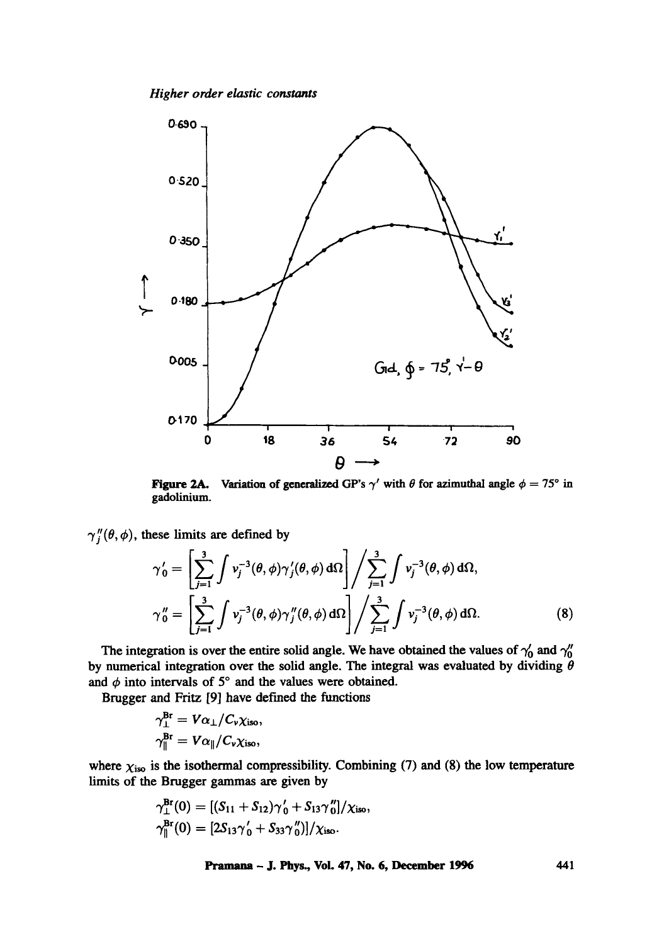*Higher order elastic constants* 



Figure 2A. gadolinium. Variation of generalized GP's  $\gamma'$  with  $\theta$  for azimuthal angle  $\phi = 75^\circ$  in

 $\gamma''_i(\theta, \phi)$ , these limits are defined by

$$
\gamma'_0 = \left[ \sum_{j=1}^3 \int v_j^{-3}(\theta, \phi) \gamma'_j(\theta, \phi) d\Omega \right] / \sum_{j=1}^3 \int v_j^{-3}(\theta, \phi) d\Omega,
$$
  

$$
\gamma''_0 = \left[ \sum_{j=1}^3 \int v_j^{-3}(\theta, \phi) \gamma''_j(\theta, \phi) d\Omega \right] / \sum_{j=1}^3 \int v_j^{-3}(\theta, \phi) d\Omega.
$$
 (8)

The integration is over the entire solid angle. We have obtained the values of  $\gamma'_0$  and  $\gamma''_0$ by numerical integration over the solid angle. The integral was evaluated by dividing  $\theta$ and  $\phi$  into intervals of 5° and the values were obtained.

Brugger and Fritz [9] have defined the functions

$$
\gamma_{\perp}^{\text{Br}} = V\alpha_{\perp}/C_{\nu}\chi_{\text{iso}},
$$
  

$$
\gamma_{\parallel}^{\text{Br}} = V\alpha_{\parallel}/C_{\nu}\chi_{\text{iso}},
$$

where  $\chi_{iso}$  is the isothermal compressibility. Combining (7) and (8) the low temperature limits of the Brugger gammas are given by

$$
\gamma_{\perp}^{\text{Br}}(0) = [(S_{11} + S_{12})\gamma'_{0} + S_{13}\gamma''_{0}]/\chi_{\text{iso}},
$$
  

$$
\gamma_{\parallel}^{\text{Br}}(0) = [2S_{13}\gamma'_{0} + S_{33}\gamma''_{0}]/\chi_{\text{iso}}.
$$

Pramana - J. Phys., Vol. 47, No. 6, December 1996 441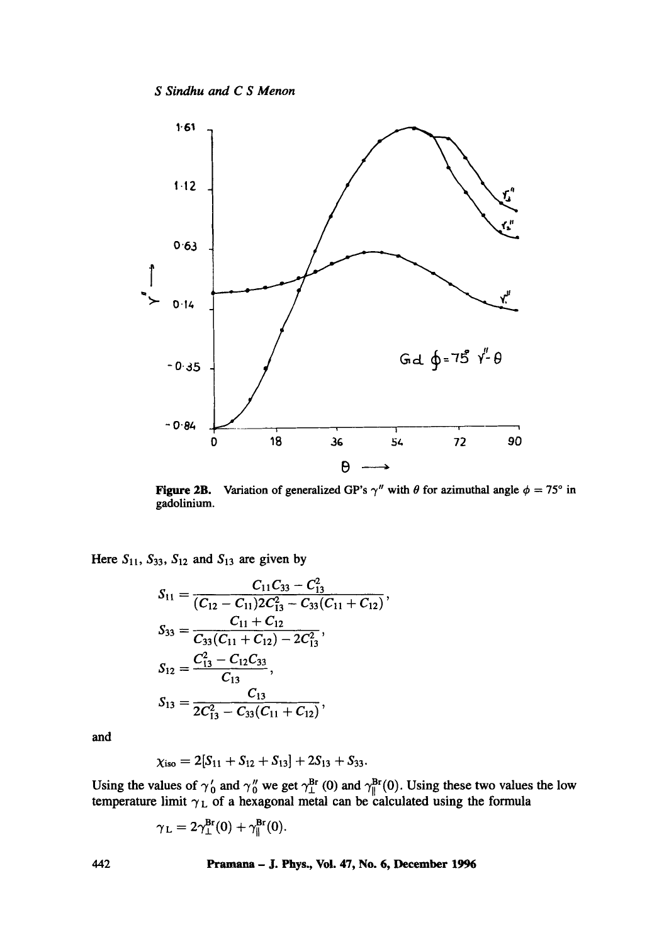*S Sindhu and C S Menon* 



Figure 2B. gadolinium. Variation of generalized GP's  $\gamma''$  with  $\theta$  for azimuthal angle  $\phi = 75^\circ$  in

Here  $S_{11}$ ,  $S_{33}$ ,  $S_{12}$  and  $S_{13}$  are given by

$$
S_{11} = \frac{C_{11}C_{33} - C_{13}^2}{(C_{12} - C_{11})2C_{13}^2 - C_{33}(C_{11} + C_{12})},
$$
  
\n
$$
S_{33} = \frac{C_{11} + C_{12}}{C_{33}(C_{11} + C_{12}) - 2C_{13}^2},
$$
  
\n
$$
S_{12} = \frac{C_{13}^2 - C_{12}C_{33}}{C_{13}},
$$
  
\n
$$
S_{13} = \frac{C_{13}}{2C_{13}^2 - C_{33}(C_{11} + C_{12})},
$$

and

$$
\chi_{\rm iso}=2[S_{11}+S_{12}+S_{13}]+2S_{13}+S_{33}.
$$

Using the values of  $\gamma_0$  and  $\gamma_0''$  we get  $\gamma_1^{pr}(0)$  and  $\gamma_1^{pr}(0)$ . Using these two values the low temperature limit  $\gamma_L$  of a hexagonal metal can be calculated using the formula

$$
\gamma_{\mathrm{L}}=2\gamma_{\mathrm{L}}^{\mathrm{Br}}(0)+\gamma_{\parallel}^{\mathrm{Br}}(0).
$$

442 Pramana - J. Phys., Vol. 47, No. 6, December 1996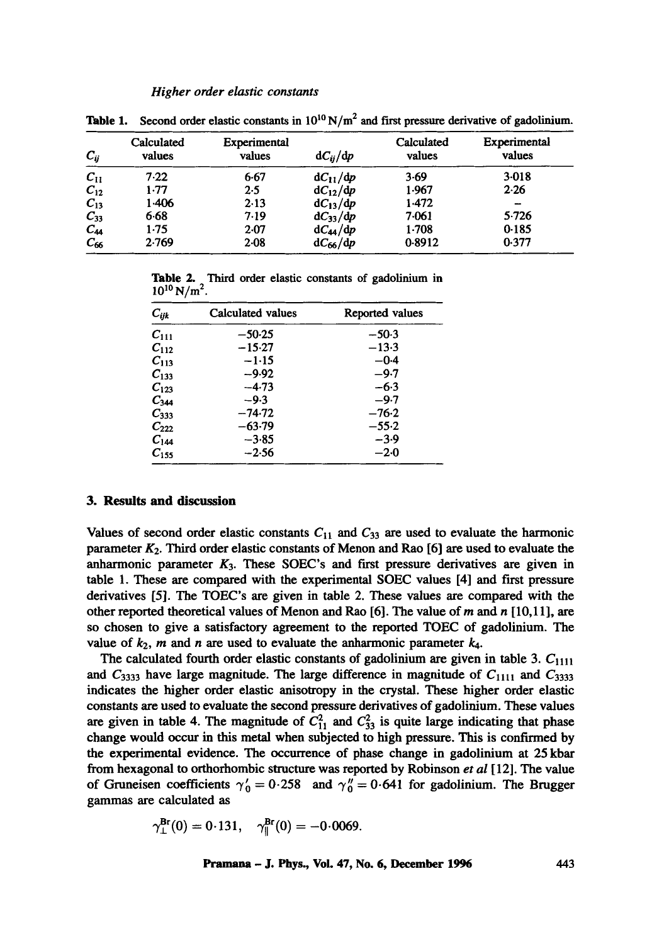| $C_{ij}$ | Calculated<br>values | Experimental<br>values | $dC_{ii}/dp$ | Calculated<br>values | Experimental<br>values |
|----------|----------------------|------------------------|--------------|----------------------|------------------------|
| $C_{11}$ | 7.22                 | 6.67                   | $dC_{11}/dp$ | $3-69$               | 3.018                  |
| $C_{12}$ | 1.77                 | 2.5                    | $dC_{12}/dp$ | 1.967                | 2.26                   |
| $C_{13}$ | 1.406                | 2.13                   | $dC_{13}/dp$ | 1.472                | -                      |
| $C_{33}$ | 6.68                 | 7.19                   | $dC_{33}/dp$ | 7.061                | 5.726                  |
| $C_{44}$ | 1.75                 | 2.07                   | $dC_{44}/dp$ | 1.708                | 0.185                  |
| $C_{66}$ | 2.769                | $2-08$                 | $dC_{66}/dp$ | 0.8912               | 0.377                  |

**Table 1.** Second order elastic constants in  $10^{10} N/m^2$  and first pressure derivative of gadolinium.

**Table** 2. Third order elastic constants of gadolinium **in**   $10^{10}$  N/m<sup>2</sup>.

| $C_{ijk}$ | Calculated values | Reported values |
|-----------|-------------------|-----------------|
| $C_{111}$ | $-50.25$          | $-50.3$         |
| $C_{112}$ | $-15.27$          | $-13.3$         |
| $C_{113}$ | $-1.15$           | $-0.4$          |
| $C_{133}$ | -9.92             | $-9.7$          |
| $C_{123}$ | $-4.73$           | $-6.3$          |
| $C_{344}$ | $-9.3$            | $-9.7$          |
| $C_{333}$ | $-74.72$          | $-76.2$         |
| $C_{222}$ | -63.79            | $-55.2$         |
| $C_{144}$ | $-3.85$           | $-3.9$          |
| $C_{155}$ | $-2.56$           | $-2.0$          |

## **3. Results and discussion**

Values of second order elastic constants  $C_{11}$  and  $C_{33}$  are used to evaluate the harmonic parameter *K2.* Third order elastic constants of Menon and Rao [6] are used to evaluate the anharmonic parameter  $K_3$ . These SOEC's and first pressure derivatives are given in table 1. These are compared with the experimental SOEC values [4] and first pressure derivatives [5]. The TOEC's are given in table 2. These values are compared with the other reported theoretical values of Menon and Rao [6]. The value of m and  $n$  [10,11], are so chosen to give a satisfactory agreement to the reported TOEC of gadolinium. The value of  $k_2$ , m and n are used to evaluate the anharmonic parameter  $k_4$ .

The calculated fourth order elastic constants of gadolinium are given in table 3.  $C_{1111}$ and  $C_{3333}$  have large magnitude. The large difference in magnitude of  $C_{1111}$  and  $C_{3333}$ indicates the higher order elastic anisotropy in the crystal. These higher order elastic constants are used to evaluate the second pressure derivatives of gadolinium. These values are given in table 4. The magnitude of  $C_{11}^2$  and  $C_{33}^2$  is quite large indicating that phase change would occur in this metal when subjected to high pressure. This is confirmed by the experimental evidence. The occurrence of phase change in gadolinium at 25 kbar from hexagonal to orthorhombic structure was reported by Robinson *et al* [12]. The value of Gruneisen coefficients  $\gamma'_0 = 0.258$  and  $\gamma''_0 = 0.641$  for gadolinium. The Brugger gammas are calculated as

$$
\gamma_{\perp}^{\text{Br}}(0) = 0.131, \quad \gamma_{\parallel}^{\text{Br}}(0) = -0.0069.
$$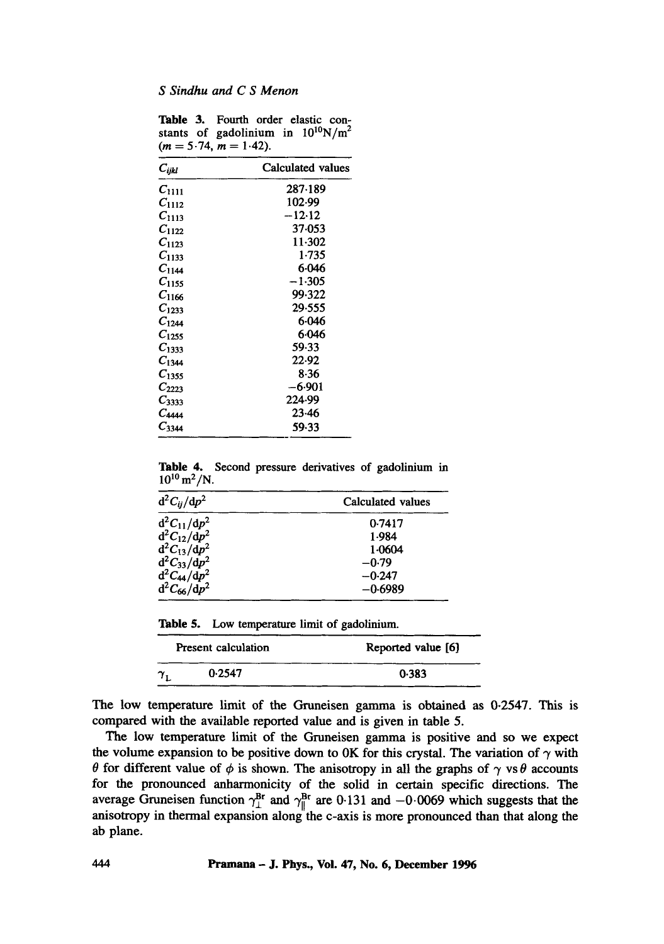|  | <b>Table 3.</b> Fourth order elastic con- |  |  |
|--|-------------------------------------------|--|--|
|  | stants of gadolinium in $10^{10}N/m^2$    |  |  |
|  | $(m = 5.74, m = 1.42).$                   |  |  |

| $C_{ijkl}$ | Calculated values |
|------------|-------------------|
| $C_{1111}$ | 287-189           |
| $C_{1112}$ | 102-99            |
| $C_{1113}$ | $-12.12$          |
| $C_{1122}$ | 37-053            |
| $C_{1123}$ | 11.302            |
| $C_{1133}$ | 1.735             |
| $C_{1144}$ | 6.046             |
| $C_{1155}$ | $-1.305$          |
| $C_{1166}$ | 99.322            |
| $C_{1233}$ | 29.555            |
| $C_{1244}$ | 6.046             |
| $C_{1255}$ | 6.046             |
| $C_{1333}$ | 59.33             |
| $C_{1344}$ | 22.92             |
| $C_{1355}$ | 8.36              |
| $C_{2223}$ | –6.901            |
| $C_{3333}$ | 224.99            |
| $C_{4444}$ | 23.46             |
| $C_{3344}$ | 59.33             |

Table 4, Second pressure derivatives of gadolinium in  $10^{10}$  m<sup>2</sup>/N.

| $d^2C_{ij}/dp^2$                     | Calculated values |  |
|--------------------------------------|-------------------|--|
| $d^2C_{11}/dp^2$                     | 0.7417            |  |
| $d^2C_{12}/dp^2$                     | 1.984             |  |
| $d^2C_{13}/dp^2$                     | 1.0604            |  |
| $d^2C_{33}/dp^2$                     | $-0.79$           |  |
|                                      | $-0.247$          |  |
| $d^2C_{44}/dp^2$<br>$d^2C_{66}/dp^2$ | $-0.6989$         |  |

Table 5. Low temperature limit of gadolinium.

|                                | Present calculation | Reported value [6] |  |  |
|--------------------------------|---------------------|--------------------|--|--|
| $\boldsymbol{\gamma}_\text{r}$ | 0.2547              | 0.383              |  |  |

The low temperature limit of the Gruneisen gamma is obtained as 0-2547. This is compared with the available reported value and is given in table 5.

The low temperature limit of the Gruneisen gamma is positive and so we expect the volume expansion to be positive down to 0K for this crystal. The variation of  $\gamma$  with  $\theta$  for different value of  $\phi$  is shown. The anisotropy in all the graphs of  $\gamma$  vs  $\theta$  accounts for the pronounced anharmonicity of the solid in certain specific directions. The average Gruneisen function  $\gamma_1^{\text{Bf}}$  and  $\gamma_1^{\text{Bf}}$  are 0.131 and  $-0.0069$  which suggests that the anisotropy in thermal expansion along the c-axis is more pronounced than that along the ab plane.